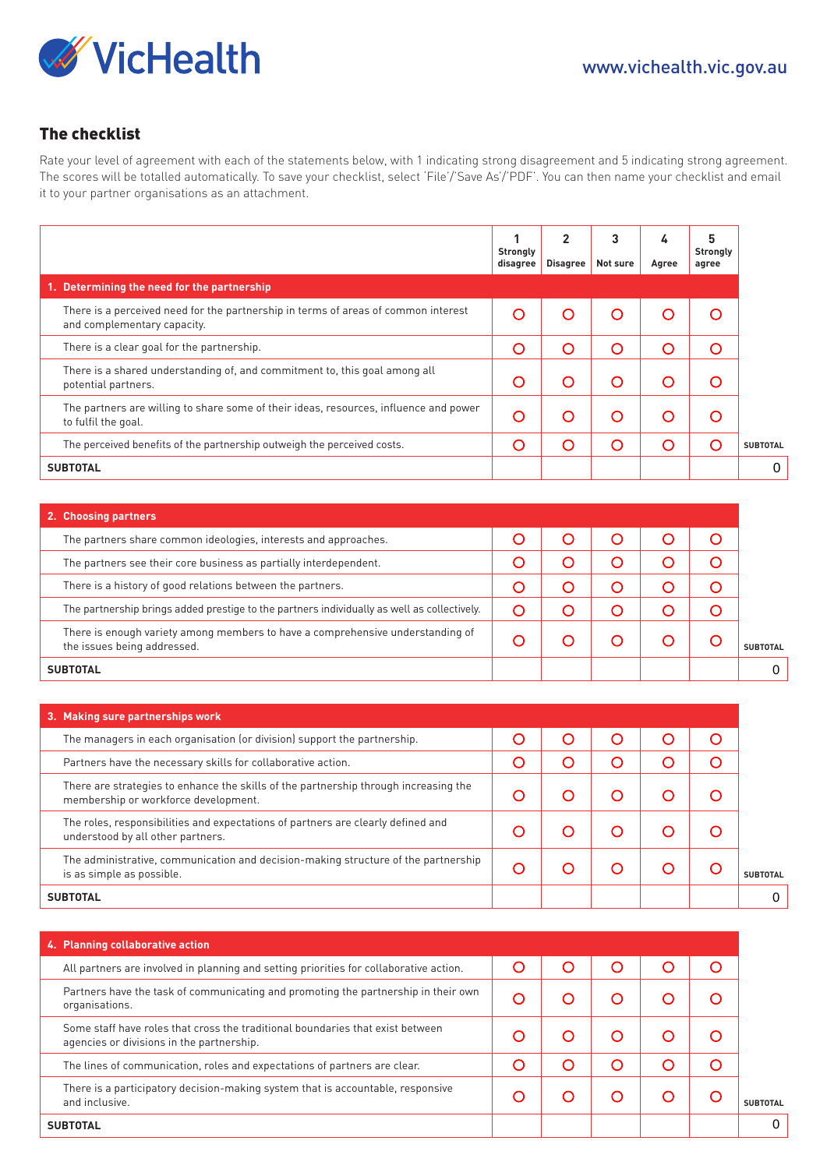

## The checklist

Rate your level of agreement with each of the statements below, with 1 indicating strong disagreement and 5 indicating strong agreement. The scores will be totalled automatically. To save your checklist, select 'File'/'Save As'/'PDF'. You can then name your checklist and email it to your partner organisations as an attachment.

|                                                                                                                              | 1<br><b>Strongly</b><br>disagree | $\overline{2}$<br><b>Disagree</b> | 3<br>Not sure | 4<br>Agree | 5<br><b>Strongly</b><br>agree |                 |
|------------------------------------------------------------------------------------------------------------------------------|----------------------------------|-----------------------------------|---------------|------------|-------------------------------|-----------------|
| 1. Determining the need for the partnership                                                                                  |                                  |                                   |               |            |                               |                 |
| There is a perceived need for the partnership in terms of areas of common interest<br>and complementary capacity.            | $\circ$                          | O                                 | $\circ$       | O          | $\circ$                       |                 |
| There is a clear goal for the partnership.                                                                                   | $\circ$                          | O                                 | $\circ$       | O          | O                             |                 |
| There is a shared understanding of, and commitment to, this goal among all<br>potential partners.                            | O                                | O                                 | O             | O          | O                             |                 |
| The partners are willing to share some of their ideas, resources, influence and power<br>to fulfil the goal.                 | O                                | O                                 | $\circ$       | O          | O                             |                 |
| The perceived benefits of the partnership outweigh the perceived costs.                                                      | $\circ$                          | $\circ$                           | $\circ$       | O          | O                             | <b>SUBTOTAL</b> |
| <b>SUBTOTAL</b>                                                                                                              |                                  |                                   |               |            |                               | 0               |
|                                                                                                                              |                                  |                                   |               |            |                               |                 |
| 2. Choosing partners                                                                                                         |                                  |                                   |               |            |                               |                 |
| The partners share common ideologies, interests and approaches.                                                              | $\circ$                          | $\circ$                           | $\circ$       | $\circ$    | $\circ$                       |                 |
| The partners see their core business as partially interdependent.                                                            | O                                | $\circ$                           | $\circ$       | O          | O                             |                 |
| There is a history of good relations between the partners.                                                                   | $\circ$                          | $\circ$                           | $\circ$       | O          | O                             |                 |
| The partnership brings added prestige to the partners individually as well as collectively.                                  | $\circ$                          | O                                 | $\circ$       | O          | O                             |                 |
| There is enough variety among members to have a comprehensive understanding of<br>the issues being addressed.                | $\circ$                          | $\circ$                           | $\circ$       | O          | $\circ$                       | <b>SUBTOTAL</b> |
| <b>SUBTOTAL</b>                                                                                                              |                                  |                                   |               |            |                               | 0               |
|                                                                                                                              |                                  |                                   |               |            |                               |                 |
| 3. Making sure partnerships work                                                                                             |                                  |                                   |               |            |                               |                 |
| The managers in each organisation (or division) support the partnership.                                                     | $\circ$                          | $\circ$                           | $\circ$       | $\circ$    | $\circ$                       |                 |
| Partners have the necessary skills for collaborative action.                                                                 | $\circ$                          | $\circ$                           | $\circ$       | O          | O                             |                 |
| There are strategies to enhance the skills of the partnership through increasing the<br>membership or workforce development. | O                                | O                                 | O             | O          | O                             |                 |
| The roles, responsibilities and expectations of partners are clearly defined and<br>understood by all other partners.        | $\circ$                          | $\circ$                           | $\circ$       | O          | O                             |                 |
| The administrative, communication and decision-making structure of the partnership<br>is as simple as possible.              | $\circ$                          | O                                 | $\circ$       | O          | $\circ$                       | <b>SUBTOTAL</b> |
| <b>SUBTOTAL</b>                                                                                                              |                                  |                                   |               |            |                               | 0               |
|                                                                                                                              |                                  |                                   |               |            |                               |                 |
| 4. Planning collaborative action                                                                                             |                                  |                                   |               |            |                               |                 |
| All partners are involved in planning and setting priorities for collaborative action.                                       | $\circ$                          | $\circ$                           | $\circ$       | $\circ$    | O                             |                 |
| Partners have the task of communicating and promoting the partnership in their own<br>organisations.                         | O                                | O                                 | $\circ$       | O          | O                             |                 |
| Some staff have roles that cross the traditional boundaries that exist between<br>agencies or divisions in the partnership.  | O                                | O                                 | O             | O          | O                             |                 |
| The lines of communication, roles and expectations of partners are clear.                                                    | O                                | O                                 | O             | O          | O                             |                 |
| There is a participatory decision-making system that is accountable, responsive<br>and inclusive.                            | $\circ$                          | $\circ$                           | $\circ$       | O          | $\circ$                       | <b>SUBTOTAL</b> |
| <b>SUBTOTAL</b>                                                                                                              |                                  |                                   |               |            |                               | 0               |